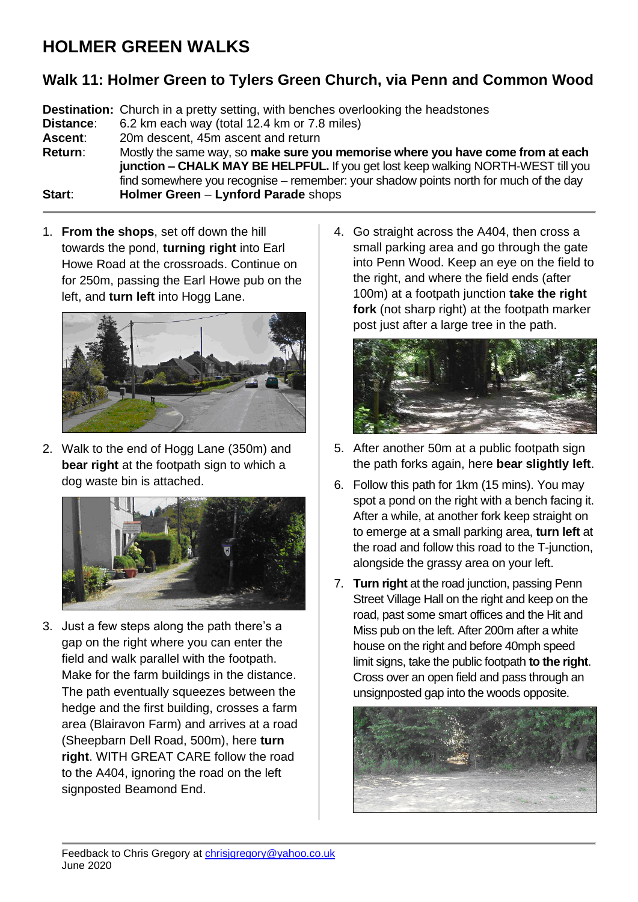## **HOLMER GREEN WALKS**

## **Walk 11: Holmer Green to Tylers Green Church, via Penn and Common Wood**

**Destination:** Church in a pretty setting, with benches overlooking the headstones **Distance**: 6.2 km each way (total 12.4 km or 7.8 miles) **Ascent**: 20m descent, 45m ascent and return **Return**: Mostly the same way, so **make sure you memorise where you have come from at each junction – CHALK MAY BE HELPFUL.** If you get lost keep walking NORTH-WEST till you find somewhere you recognise – remember: your shadow points north for much of the day **Start**: **Holmer Green** – **Lynford Parade** shops

1. **From the shops**, set off down the hill towards the pond, **turning right** into Earl Howe Road at the crossroads. Continue on for 250m, passing the Earl Howe pub on the left, and **turn left** into Hogg Lane.



2. Walk to the end of Hogg Lane (350m) and **bear right** at the footpath sign to which a dog waste bin is attached.



3. Just a few steps along the path there's a gap on the right where you can enter the field and walk parallel with the footpath. Make for the farm buildings in the distance. The path eventually squeezes between the hedge and the first building, crosses a farm area (Blairavon Farm) and arrives at a road (Sheepbarn Dell Road, 500m), here **turn right**. WITH GREAT CARE follow the road to the A404, ignoring the road on the left signposted Beamond End.

4. Go straight across the A404, then cross a small parking area and go through the gate into Penn Wood. Keep an eye on the field to the right, and where the field ends (after 100m) at a footpath junction **take the right fork** (not sharp right) at the footpath marker post just after a large tree in the path.



- 5. After another 50m at a public footpath sign the path forks again, here **bear slightly left**.
- 6. Follow this path for 1km (15 mins). You may spot a pond on the right with a bench facing it. After a while, at another fork keep straight on to emerge at a small parking area, **turn left** at the road and follow this road to the T-junction, alongside the grassy area on your left.
- 7. **Turn right** at the road junction, passing Penn Street Village Hall on the right and keep on the road, past some smart offices and the Hit and Miss pub on the left. After 200m after a white house on the right and before 40mph speed limit signs, take the public footpath **to the right**. Cross over an open field and pass through an unsignposted gap into the woods opposite.